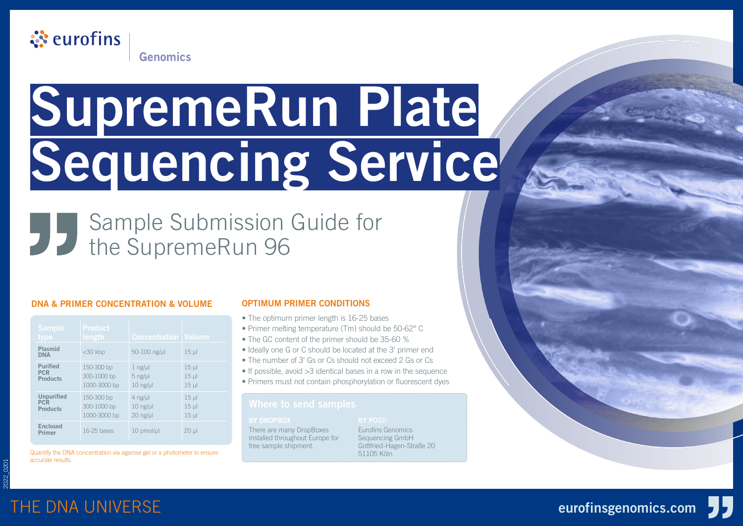

# **SupremeRun Plate Sequencing Service**

## Sample Submission Guide for the SupremeRun 96

#### **DNA & PRIMER CONCENTRATION & VOLUME**

| <b>Sample</b><br>type                              | <b>Product</b><br>length                  | <b>Concentration   Volume</b>                     |                                         |
|----------------------------------------------------|-------------------------------------------|---------------------------------------------------|-----------------------------------------|
| Plasmid<br><b>DNA</b>                              | $<$ 30 kbp                                | 50-100 ng/ul                                      | $15 \mu$                                |
| <b>Purified</b><br><b>PCR</b><br><b>Products</b>   | 150-300 bp<br>300-1000 bp<br>1000-3000 bp | $1$ ng/ $\mu$<br>$5$ ng/ $\mu$<br>$10$ ng/ $\mu$  | $15 \mu$<br>$15 \mu$<br>$15 \mu$        |
| <b>Unpurified</b><br><b>PCR</b><br><b>Products</b> | 150-300 bp<br>300-1000 bp<br>1000-3000 bp | $4$ ng/ $\mu$<br>$10$ ng/ $\mu$<br>$20$ ng/ $\mu$ | $15 \mu$<br>$15 \mu$<br>15 <sub>µ</sub> |
| Enclosed<br><b>Primer</b>                          | 16-25 bases                               | 10 pmol/µl                                        | $20 \mu$                                |

Quantify the DNA concentration via agarose gel or a photometer to ensure accurate results.

#### **OPTIMUM PRIMER CONDITIONS**

- The optimum primer length is 16-25 bases
- Primer melting temperature (Tm) should be 50-62° C
- The GC content of the primer should be 35-60 %
- Ideally one G or C should be located at the 3' primer end
- The number of 3' Gs or Cs should not exceed 2 Gs or Cs
- If possible, avoid > 3 identical bases in a row in the sequence
- Primers must not contain phosphorylation or fluorescent dyes

There are many DropBoxes installed throughout Europe for free sample shipment.

Eurofins Genomics Sequencing GmbH Gottfried-Hagen-Straße 20 51105 Köln

Sanger Sequencing Planet



2022\_0201